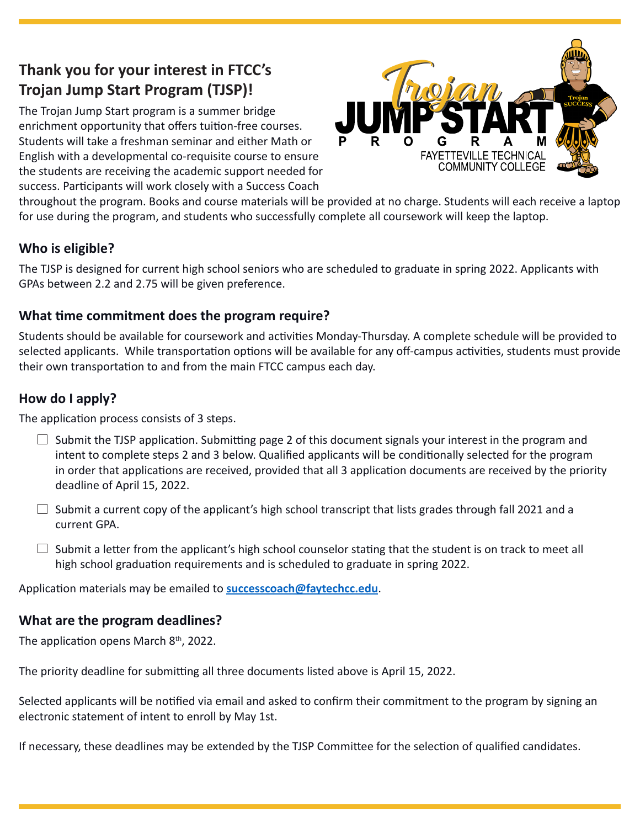# **Thank you for your interest in FTCC's Trojan Jump Start Program (TJSP)!**

The Trojan Jump Start program is a summer bridge enrichment opportunity that offers tuition-free courses. Students will take a freshman seminar and either Math or English with a developmental co-requisite course to ensure the students are receiving the academic support needed for success. Participants will work closely with a Success Coach



throughout the program. Books and course materials will be provided at no charge. Students will each receive a laptop for use during the program, and students who successfully complete all coursework will keep the laptop.

### **Who is eligible?**

The TJSP is designed for current high school seniors who are scheduled to graduate in spring 2022. Applicants with GPAs between 2.2 and 2.75 will be given preference.

#### **What time commitment does the program require?**

Students should be available for coursework and activities Monday-Thursday. A complete schedule will be provided to selected applicants. While transportation options will be available for any off-campus activities, students must provide their own transportation to and from the main FTCC campus each day.

## **How do I apply?**

The application process consists of 3 steps.

- $\Box$  Submit the TJSP application. Submitting page 2 of this document signals your interest in the program and intent to complete steps 2 and 3 below. Qualified applicants will be conditionally selected for the program in order that applications are received, provided that all 3 application documents are received by the priority deadline of April 15, 2022.
- $\Box$  Submit a current copy of the applicant's high school transcript that lists grades through fall 2021 and a current GPA.
- $\Box$  Submit a letter from the applicant's high school counselor stating that the student is on track to meet all high school graduation requirements and is scheduled to graduate in spring 2022.

Application materials may be emailed to **successcoac[h@faytechcc.edu](mailto:successcoach%40faytechcc.edu?subject=)**.

#### **What are the program deadlines?**

The application opens March 8<sup>th</sup>, 2022.

The priority deadline for submitting all three documents listed above is April 15, 2022.

Selected applicants will be notified via email and asked to confirm their commitment to the program by signing an electronic statement of intent to enroll by May 1st.

If necessary, these deadlines may be extended by the TJSP Committee for the selection of qualified candidates.